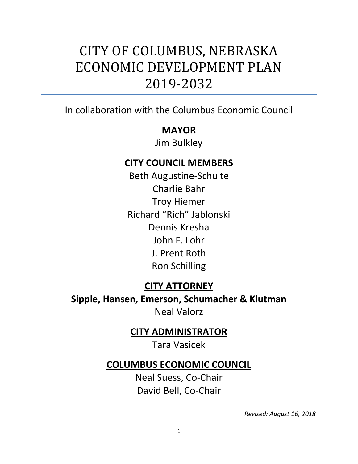## CITY OF COLUMBUS, NEBRASKA ECONOMIC DEVELOPMENT PLAN 2019-2032

In collaboration with the Columbus Economic Council

## **MAYOR**

Jim Bulkley

## **CITY COUNCIL MEMBERS**

Beth Augustine-Schulte Charlie Bahr Troy Hiemer Richard "Rich" Jablonski Dennis Kresha John F. Lohr J. Prent Roth Ron Schilling

## **CITY ATTORNEY**

**Sipple, Hansen, Emerson, Schumacher & Klutman** Neal Valorz

## **CITY ADMINISTRATOR**

Tara Vasicek

### **COLUMBUS ECONOMIC COUNCIL**

Neal Suess, Co-Chair David Bell, Co-Chair

*Revised: August 16, 2018*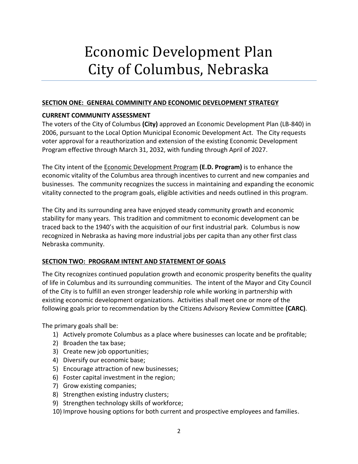# Economic Development Plan City of Columbus, Nebraska

#### **SECTION ONE: GENERAL COMMINITY AND ECONOMIC DEVELOPMENT STRATEGY**

#### **CURRENT COMMUNITY ASSESSMENT**

The voters of the City of Columbus **(City)** approved an Economic Development Plan (LB-840) in 2006, pursuant to the Local Option Municipal Economic Development Act. The City requests voter approval for a reauthorization and extension of the existing Economic Development Program effective through March 31, 2032, with funding through April of 2027.

The City intent of the Economic Development Program **(E.D. Program)** is to enhance the economic vitality of the Columbus area through incentives to current and new companies and businesses. The community recognizes the success in maintaining and expanding the economic vitality connected to the program goals, eligible activities and needs outlined in this program.

The City and its surrounding area have enjoyed steady community growth and economic stability for many years. This tradition and commitment to economic development can be traced back to the 1940's with the acquisition of our first industrial park. Columbus is now recognized in Nebraska as having more industrial jobs per capita than any other first class Nebraska community.

#### **SECTION TWO: PROGRAM INTENT AND STATEMENT OF GOALS**

The City recognizes continued population growth and economic prosperity benefits the quality of life in Columbus and its surrounding communities. The intent of the Mayor and City Council of the City is to fulfill an even stronger leadership role while working in partnership with existing economic development organizations. Activities shall meet one or more of the following goals prior to recommendation by the Citizens Advisory Review Committee **(CARC)**.

The primary goals shall be:

- 1) Actively promote Columbus as a place where businesses can locate and be profitable;
- 2) Broaden the tax base;
- 3) Create new job opportunities;
- 4) Diversify our economic base;
- 5) Encourage attraction of new businesses;
- 6) Foster capital investment in the region;
- 7) Grow existing companies;
- 8) Strengthen existing industry clusters;
- 9) Strengthen technology skills of workforce;
- 10) Improve housing options for both current and prospective employees and families.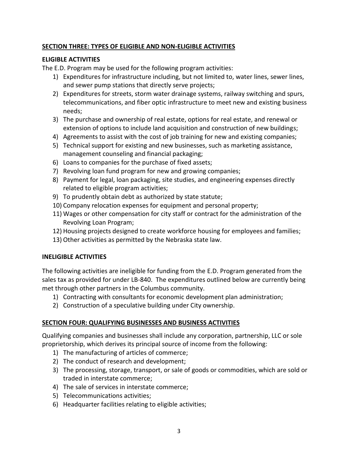#### **SECTION THREE: TYPES OF ELIGIBLE AND NON-ELIGIBLE ACTIVITIES**

#### **ELIGIBLE ACTIVITIES**

The E.D. Program may be used for the following program activities:

- 1) Expenditures for infrastructure including, but not limited to, water lines, sewer lines, and sewer pump stations that directly serve projects;
- 2) Expenditures for streets, storm water drainage systems, railway switching and spurs, telecommunications, and fiber optic infrastructure to meet new and existing business needs;
- 3) The purchase and ownership of real estate, options for real estate, and renewal or extension of options to include land acquisition and construction of new buildings;
- 4) Agreements to assist with the cost of job training for new and existing companies;
- 5) Technical support for existing and new businesses, such as marketing assistance, management counseling and financial packaging;
- 6) Loans to companies for the purchase of fixed assets;
- 7) Revolving loan fund program for new and growing companies;
- 8) Payment for legal, loan packaging, site studies, and engineering expenses directly related to eligible program activities;
- 9) To prudently obtain debt as authorized by state statute;
- 10) Company relocation expenses for equipment and personal property;
- 11) Wages or other compensation for city staff or contract for the administration of the Revolving Loan Program;
- 12) Housing projects designed to create workforce housing for employees and families;
- 13) Other activities as permitted by the Nebraska state law.

#### **INELIGIBLE ACTIVITIES**

The following activities are ineligible for funding from the E.D. Program generated from the sales tax as provided for under LB-840. The expenditures outlined below are currently being met through other partners in the Columbus community.

- 1) Contracting with consultants for economic development plan administration;
- 2) Construction of a speculative building under City ownership.

#### **SECTION FOUR: QUALIFYING BUSINESSES AND BUSINESS ACTIVITIES**

Qualifying companies and businesses shall include any corporation, partnership, LLC or sole proprietorship, which derives its principal source of income from the following:

- 1) The manufacturing of articles of commerce;
- 2) The conduct of research and development;
- 3) The processing, storage, transport, or sale of goods or commodities, which are sold or traded in interstate commerce;
- 4) The sale of services in interstate commerce;
- 5) Telecommunications activities;
- 6) Headquarter facilities relating to eligible activities;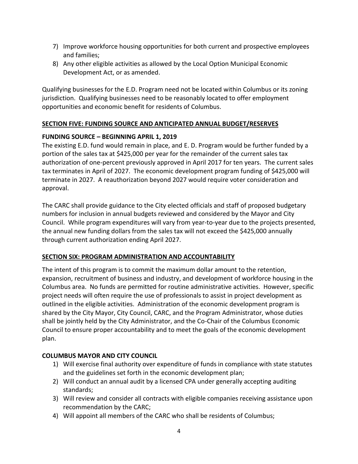- 7) Improve workforce housing opportunities for both current and prospective employees and families;
- 8) Any other eligible activities as allowed by the Local Option Municipal Economic Development Act, or as amended.

Qualifying businesses for the E.D. Program need not be located within Columbus or its zoning jurisdiction. Qualifying businesses need to be reasonably located to offer employment opportunities and economic benefit for residents of Columbus.

#### **SECTION FIVE: FUNDING SOURCE AND ANTICIPATED ANNUAL BUDGET/RESERVES**

#### **FUNDING SOURCE – BEGINNING APRIL 1, 2019**

The existing E.D. fund would remain in place, and E. D. Program would be further funded by a portion of the sales tax at \$425,000 per year for the remainder of the current sales tax authorization of one-percent previously approved in April 2017 for ten years. The current sales tax terminates in April of 2027. The economic development program funding of \$425,000 will terminate in 2027. A reauthorization beyond 2027 would require voter consideration and approval.

The CARC shall provide guidance to the City elected officials and staff of proposed budgetary numbers for inclusion in annual budgets reviewed and considered by the Mayor and City Council. While program expenditures will vary from year-to-year due to the projects presented, the annual new funding dollars from the sales tax will not exceed the \$425,000 annually through current authorization ending April 2027.

#### **SECTION SIX: PROGRAM ADMINISTRATION AND ACCOUNTABILITY**

The intent of this program is to commit the maximum dollar amount to the retention, expansion, recruitment of business and industry, and development of workforce housing in the Columbus area. No funds are permitted for routine administrative activities. However, specific project needs will often require the use of professionals to assist in project development as outlined in the eligible activities. Administration of the economic development program is shared by the City Mayor, City Council, CARC, and the Program Administrator, whose duties shall be jointly held by the City Administrator, and the Co-Chair of the Columbus Economic Council to ensure proper accountability and to meet the goals of the economic development plan.

#### **COLUMBUS MAYOR AND CITY COUNCIL**

- 1) Will exercise final authority over expenditure of funds in compliance with state statutes and the guidelines set forth in the economic development plan;
- 2) Will conduct an annual audit by a licensed CPA under generally accepting auditing standards;
- 3) Will review and consider all contracts with eligible companies receiving assistance upon recommendation by the CARC;
- 4) Will appoint all members of the CARC who shall be residents of Columbus;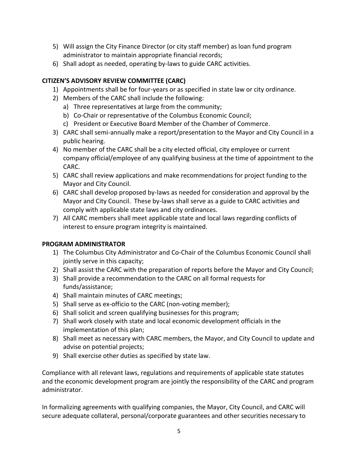- 5) Will assign the City Finance Director (or city staff member) as loan fund program administrator to maintain appropriate financial records;
- 6) Shall adopt as needed, operating by-laws to guide CARC activities.

#### **CITIZEN'S ADVISORY REVIEW COMMITTEE (CARC)**

- 1) Appointments shall be for four-years or as specified in state law or city ordinance.
- 2) Members of the CARC shall include the following:
	- a) Three representatives at large from the community;
	- b) Co-Chair or representative of the Columbus Economic Council;
	- c) President or Executive Board Member of the Chamber of Commerce.
- 3) CARC shall semi-annually make a report/presentation to the Mayor and City Council in a public hearing.
- 4) No member of the CARC shall be a city elected official, city employee or current company official/employee of any qualifying business at the time of appointment to the CARC.
- 5) CARC shall review applications and make recommendations for project funding to the Mayor and City Council.
- 6) CARC shall develop proposed by-laws as needed for consideration and approval by the Mayor and City Council. These by-laws shall serve as a guide to CARC activities and comply with applicable state laws and city ordinances.
- 7) All CARC members shall meet applicable state and local laws regarding conflicts of interest to ensure program integrity is maintained.

#### **PROGRAM ADMINISTRATOR**

- 1) The Columbus City Administrator and Co-Chair of the Columbus Economic Council shall jointly serve in this capacity;
- 2) Shall assist the CARC with the preparation of reports before the Mayor and City Council;
- 3) Shall provide a recommendation to the CARC on all formal requests for funds/assistance;
- 4) Shall maintain minutes of CARC meetings;
- 5) Shall serve as ex-officio to the CARC (non-voting member);
- 6) Shall solicit and screen qualifying businesses for this program;
- 7) Shall work closely with state and local economic development officials in the implementation of this plan;
- 8) Shall meet as necessary with CARC members, the Mayor, and City Council to update and advise on potential projects;
- 9) Shall exercise other duties as specified by state law.

Compliance with all relevant laws, regulations and requirements of applicable state statutes and the economic development program are jointly the responsibility of the CARC and program administrator.

In formalizing agreements with qualifying companies, the Mayor, City Council, and CARC will secure adequate collateral, personal/corporate guarantees and other securities necessary to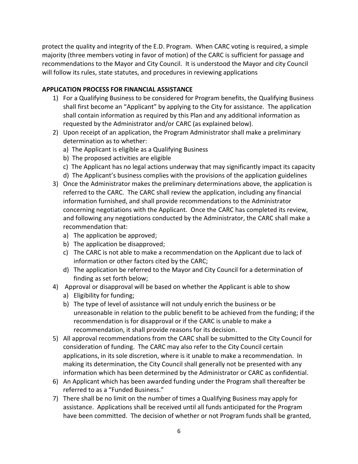protect the quality and integrity of the E.D. Program. When CARC voting is required, a simple majority (three members voting in favor of motion) of the CARC is sufficient for passage and recommendations to the Mayor and City Council. It is understood the Mayor and city Council will follow its rules, state statutes, and procedures in reviewing applications

#### **APPLICATION PROCESS FOR FINANCIAL ASSISTANCE**

- 1) For a Qualifying Business to be considered for Program benefits, the Qualifying Business shall first become an "Applicant" by applying to the City for assistance. The application shall contain information as required by this Plan and any additional information as requested by the Administrator and/or CARC (as explained below).
- 2) Upon receipt of an application, the Program Administrator shall make a preliminary determination as to whether:
	- a) The Applicant is eligible as a Qualifying Business
	- b) The proposed activities are eligible
	- c) The Applicant has no legal actions underway that may significantly impact its capacity
	- d) The Applicant's business complies with the provisions of the application guidelines
- 3) Once the Administrator makes the preliminary determinations above, the application is referred to the CARC. The CARC shall review the application, including any financial information furnished, and shall provide recommendations to the Administrator concerning negotiations with the Applicant. Once the CARC has completed its review, and following any negotiations conducted by the Administrator, the CARC shall make a recommendation that:
	- a) The application be approved;
	- b) The application be disapproved;
	- c) The CARC is not able to make a recommendation on the Applicant due to lack of information or other factors cited by the CARC;
	- d) The application be referred to the Mayor and City Council for a determination of finding as set forth below;
- 4) Approval or disapproval will be based on whether the Applicant is able to show
	- a) Eligibility for funding;
	- b) The type of level of assistance will not unduly enrich the business or be unreasonable in relation to the public benefit to be achieved from the funding; if the recommendation is for disapproval or if the CARC is unable to make a recommendation, it shall provide reasons for its decision.
- 5) All approval recommendations from the CARC shall be submitted to the City Council for consideration of funding. The CARC may also refer to the City Council certain applications, in its sole discretion, where is it unable to make a recommendation. In making its determination, the City Council shall generally not be presented with any information which has been determined by the Administrator or CARC as confidential.
- 6) An Applicant which has been awarded funding under the Program shall thereafter be referred to as a "Funded Business."
- 7) There shall be no limit on the number of times a Qualifying Business may apply for assistance. Applications shall be received until all funds anticipated for the Program have been committed. The decision of whether or not Program funds shall be granted,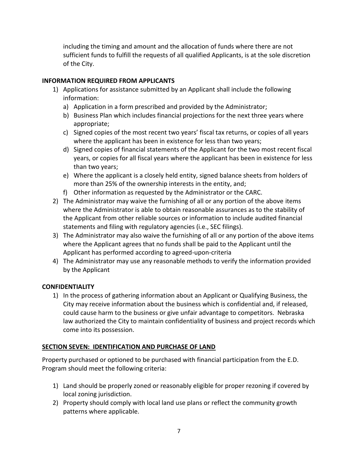including the timing and amount and the allocation of funds where there are not sufficient funds to fulfill the requests of all qualified Applicants, is at the sole discretion of the City.

#### **INFORMATION REQUIRED FROM APPLICANTS**

- 1) Applications for assistance submitted by an Applicant shall include the following information:
	- a) Application in a form prescribed and provided by the Administrator;
	- b) Business Plan which includes financial projections for the next three years where appropriate;
	- c) Signed copies of the most recent two years' fiscal tax returns, or copies of all years where the applicant has been in existence for less than two years;
	- d) Signed copies of financial statements of the Applicant for the two most recent fiscal years, or copies for all fiscal years where the applicant has been in existence for less than two years;
	- e) Where the applicant is a closely held entity, signed balance sheets from holders of more than 25% of the ownership interests in the entity, and;
	- f) Other information as requested by the Administrator or the CARC.
- 2) The Administrator may waive the furnishing of all or any portion of the above items where the Administrator is able to obtain reasonable assurances as to the stability of the Applicant from other reliable sources or information to include audited financial statements and filing with regulatory agencies (i.e., SEC filings).
- 3) The Administrator may also waive the furnishing of all or any portion of the above items where the Applicant agrees that no funds shall be paid to the Applicant until the Applicant has performed according to agreed-upon-criteria
- 4) The Administrator may use any reasonable methods to verify the information provided by the Applicant

#### **CONFIDENTIALITY**

1) In the process of gathering information about an Applicant or Qualifying Business, the City may receive information about the business which is confidential and, if released, could cause harm to the business or give unfair advantage to competitors. Nebraska law authorized the City to maintain confidentiality of business and project records which come into its possession.

#### **SECTION SEVEN: IDENTIFICATION AND PURCHASE OF LAND**

Property purchased or optioned to be purchased with financial participation from the E.D. Program should meet the following criteria:

- 1) Land should be properly zoned or reasonably eligible for proper rezoning if covered by local zoning jurisdiction.
- 2) Property should comply with local land use plans or reflect the community growth patterns where applicable.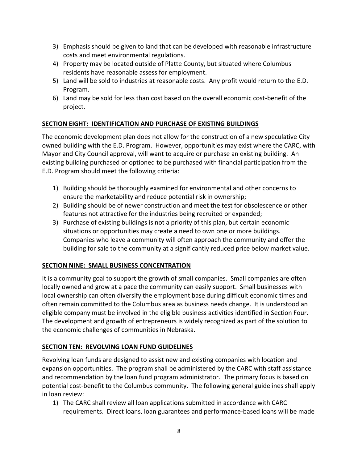- 3) Emphasis should be given to land that can be developed with reasonable infrastructure costs and meet environmental regulations.
- 4) Property may be located outside of Platte County, but situated where Columbus residents have reasonable assess for employment.
- 5) Land will be sold to industries at reasonable costs. Any profit would return to the E.D. Program.
- 6) Land may be sold for less than cost based on the overall economic cost-benefit of the project.

#### **SECTION EIGHT: IDENTIFICATION AND PURCHASE OF EXISTING BUILDINGS**

The economic development plan does not allow for the construction of a new speculative City owned building with the E.D. Program. However, opportunities may exist where the CARC, with Mayor and City Council approval, will want to acquire or purchase an existing building. An existing building purchased or optioned to be purchased with financial participation from the E.D. Program should meet the following criteria:

- 1) Building should be thoroughly examined for environmental and other concerns to ensure the marketability and reduce potential risk in ownership;
- 2) Building should be of newer construction and meet the test for obsolescence or other features not attractive for the industries being recruited or expanded;
- 3) Purchase of existing buildings is not a priority of this plan, but certain economic situations or opportunities may create a need to own one or more buildings. Companies who leave a community will often approach the community and offer the building for sale to the community at a significantly reduced price below market value.

#### **SECTION NINE: SMALL BUSINESS CONCENTRATION**

It is a community goal to support the growth of small companies. Small companies are often locally owned and grow at a pace the community can easily support. Small businesses with local ownership can often diversify the employment base during difficult economic times and often remain committed to the Columbus area as business needs change. It is understood an eligible company must be involved in the eligible business activities identified in Section Four. The development and growth of entrepreneurs is widely recognized as part of the solution to the economic challenges of communities in Nebraska.

#### **SECTION TEN: REVOLVING LOAN FUND GUIDELINES**

Revolving loan funds are designed to assist new and existing companies with location and expansion opportunities. The program shall be administered by the CARC with staff assistance and recommendation by the loan fund program administrator. The primary focus is based on potential cost-benefit to the Columbus community. The following general guidelines shall apply in loan review:

1) The CARC shall review all loan applications submitted in accordance with CARC requirements. Direct loans, loan guarantees and performance-based loans will be made